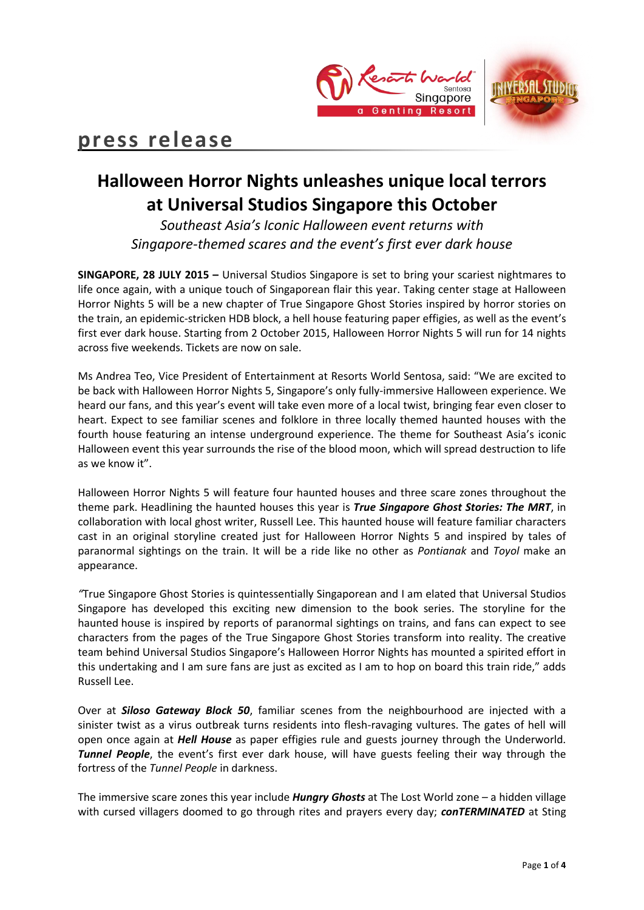



# **press release**

## **Halloween Horror Nights unleashes unique local terrors at Universal Studios Singapore this October**

*Southeast Asia's Iconic Halloween event returns with Singapore-themed scares and the event's first ever dark house* 

**SINGAPORE, 28 JULY 2015 –** Universal Studios Singapore is set to bring your scariest nightmares to life once again, with a unique touch of Singaporean flair this year. Taking center stage at Halloween Horror Nights 5 will be a new chapter of True Singapore Ghost Stories inspired by horror stories on the train, an epidemic-stricken HDB block, a hell house featuring paper effigies, as well as the event's first ever dark house. Starting from 2 October 2015, Halloween Horror Nights 5 will run for 14 nights across five weekends. Tickets are now on sale.

Ms Andrea Teo, Vice President of Entertainment at Resorts World Sentosa, said: "We are excited to be back with Halloween Horror Nights 5, Singapore's only fully-immersive Halloween experience. We heard our fans, and this year's event will take even more of a local twist, bringing fear even closer to heart. Expect to see familiar scenes and folklore in three locally themed haunted houses with the fourth house featuring an intense underground experience. The theme for Southeast Asia's iconic Halloween event this year surrounds the rise of the blood moon, which will spread destruction to life as we know it".

Halloween Horror Nights 5 will feature four haunted houses and three scare zones throughout the theme park. Headlining the haunted houses this year is *True Singapore Ghost Stories: The MRT*, in collaboration with local ghost writer, Russell Lee. This haunted house will feature familiar characters cast in an original storyline created just for Halloween Horror Nights 5 and inspired by tales of paranormal sightings on the train. It will be a ride like no other as *Pontianak* and *Toyol* make an appearance.

*"*True Singapore Ghost Stories is quintessentially Singaporean and I am elated that Universal Studios Singapore has developed this exciting new dimension to the book series. The storyline for the haunted house is inspired by reports of paranormal sightings on trains, and fans can expect to see characters from the pages of the True Singapore Ghost Stories transform into reality. The creative team behind Universal Studios Singapore's Halloween Horror Nights has mounted a spirited effort in this undertaking and I am sure fans are just as excited as I am to hop on board this train ride," adds Russell Lee.

Over at *Siloso Gateway Block 50*, familiar scenes from the neighbourhood are injected with a sinister twist as a virus outbreak turns residents into flesh-ravaging vultures. The gates of hell will open once again at *Hell House* as paper effigies rule and guests journey through the Underworld. *Tunnel People*, the event's first ever dark house, will have guests feeling their way through the fortress of the *Tunnel People* in darkness.

The immersive scare zones this year include *Hungry Ghosts* at The Lost World zone – a hidden village with cursed villagers doomed to go through rites and prayers every day; *conTERMINATED* at Sting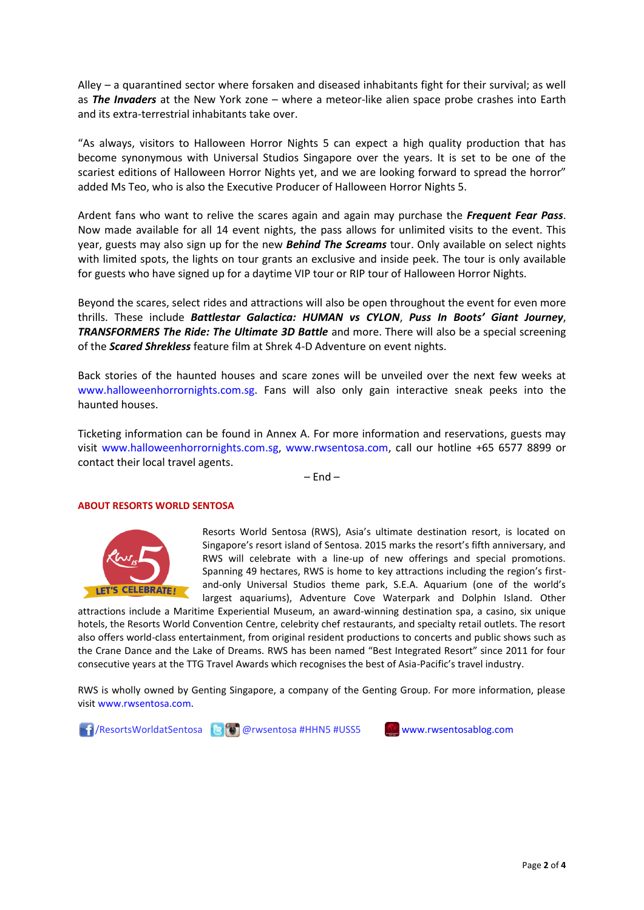Alley – a quarantined sector where forsaken and diseased inhabitants fight for their survival; as well as *The Invaders* at the New York zone – where a meteor-like alien space probe crashes into Earth and its extra-terrestrial inhabitants take over.

"As always, visitors to Halloween Horror Nights 5 can expect a high quality production that has become synonymous with Universal Studios Singapore over the years. It is set to be one of the scariest editions of Halloween Horror Nights yet, and we are looking forward to spread the horror" added Ms Teo, who is also the Executive Producer of Halloween Horror Nights 5.

Ardent fans who want to relive the scares again and again may purchase the *Frequent Fear Pass*. Now made available for all 14 event nights, the pass allows for unlimited visits to the event. This year, guests may also sign up for the new *Behind The Screams* tour. Only available on select nights with limited spots, the lights on tour grants an exclusive and inside peek. The tour is only available for guests who have signed up for a daytime VIP tour or RIP tour of Halloween Horror Nights.

Beyond the scares, select rides and attractions will also be open throughout the event for even more thrills. These include *Battlestar Galactica: HUMAN vs CYLON*, *Puss In Boots' Giant Journey*, *TRANSFORMERS The Ride: The Ultimate 3D Battle* and more. There will also be a special screening of the *Scared Shrekless* feature film at Shrek 4-D Adventure on event nights.

Back stories of the haunted houses and scare zones will be unveiled over the next few weeks at [www.halloweenhorrornights.com.sg.](http://www.halloweenhorrornights.com.sg/) Fans will also only gain interactive sneak peeks into the haunted houses.

Ticketing information can be found in Annex A. For more information and reservations, guests may visit [www.halloweenhorrornights.com.sg,](http://www.halloweenhorrornights.com.sg/) [www.rwsentosa.com,](http://www.rwsentosa.com/) call our hotline +65 6577 8899 or contact their local travel agents.

 $-$  End  $-$ 

#### **ABOUT RESORTS WORLD SENTOSA**



Resorts World Sentosa (RWS), Asia's ultimate destination resort, is located on Singapore's resort island of Sentosa. 2015 marks the resort's fifth anniversary, and RWS will celebrate with a line-up of new offerings and special promotions. Spanning 49 hectares, RWS is home to key attractions including the region's firstand-only Universal Studios theme park, S.E.A. Aquarium (one of the world's largest aquariums), Adventure Cove Waterpark and Dolphin Island. Other

attractions include a Maritime Experiential Museum, an award-winning destination spa, a casino, six unique hotels, the Resorts World Convention Centre, celebrity chef restaurants, and specialty retail outlets. The resort also offers world-class entertainment, from original resident productions to concerts and public shows such as the Crane Dance and the Lake of Dreams. RWS has been named "Best Integrated Resort" since 2011 for four consecutive years at the TTG Travel Awards which recognises the best of Asia-Pacific's travel industry.

RWS is wholly owned by Genting Singapore, a company of the Genting Group. For more information, please visi[t www.rwsentosa.com.](http://www.rwsentosa.com/)



Page **2** of **4**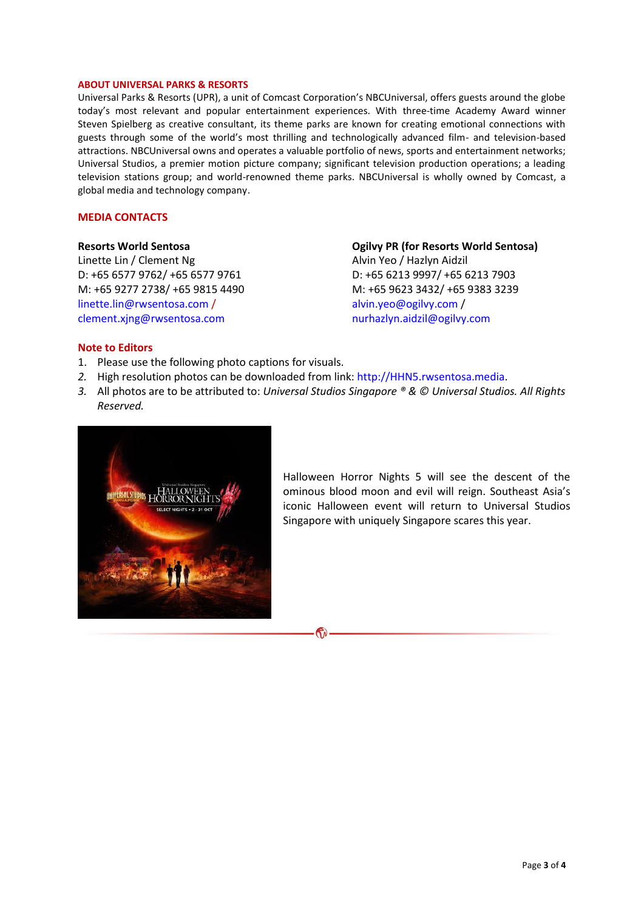#### **ABOUT UNIVERSAL PARKS & RESORTS**

Universal Parks & Resorts (UPR), a unit of Comcast Corporation's NBCUniversal, offers guests around the globe today's most relevant and popular entertainment experiences. With three-time Academy Award winner Steven Spielberg as creative consultant, its theme parks are known for creating emotional connections with guests through some of the world's most thrilling and technologically advanced film- and television-based attractions. NBCUniversal owns and operates a valuable portfolio of news, sports and entertainment networks; Universal Studios, a premier motion picture company; significant television production operations; a leading television stations group; and world-renowned theme parks. NBCUniversal is wholly owned by Comcast, a global media and technology company.

#### **MEDIA CONTACTS**

**Resorts World Sentosa** Linette Lin / Clement Ng D: +65 6577 9762/ +65 6577 9761 M: +65 9277 2738/ +65 9815 4490 [linette.lin@rwsentosa.com](mailto:linette.lin@rwsentosa.com) / [clement.xjng@rwsentosa.com](mailto:clement.xjng@rwsentosa.com)

**Ogilvy PR (for Resorts World Sentosa)** Alvin Yeo / Hazlyn Aidzil D: +65 6213 9997/ +65 6213 7903 M: +65 9623 3432/ +65 9383 3239 [alvin.yeo@ogilvy.com](mailto:alvin.yeo@ogilvy.com) / [nurhazlyn.aidzil@ogilvy.com](mailto:nurhazlyn.aidzil@ogilvy.com)

## **Note to Editors**

- 1. Please use the following photo captions for visuals.
- *2.* High resolution photos can be downloaded from link: [http://HHN5.rwsentosa.media.](http://hhn5.rwsentosa.media/)
- *3.* All photos are to be attributed to: *Universal Studios Singapore ® & © Universal Studios. All Rights Reserved.*



Halloween Horror Nights 5 will see the descent of the ominous blood moon and evil will reign. Southeast Asia's iconic Halloween event will return to Universal Studios Singapore with uniquely Singapore scares this year.

## ক